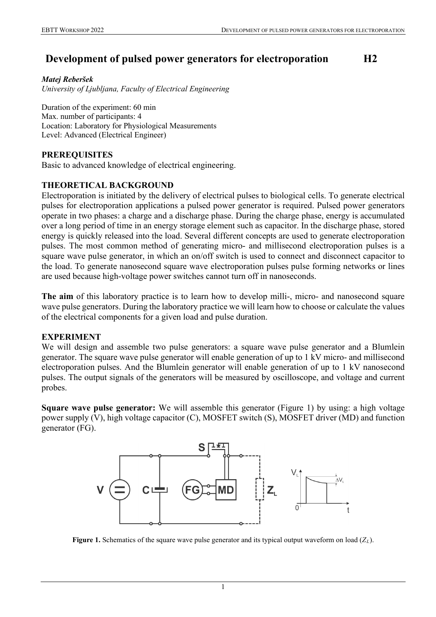# **Development of pulsed power generators for electroporation H2**

*Matej Reberšek University of Ljubljana, Faculty of Electrical Engineering*

Duration of the experiment: 60 min Max. number of participants: 4 Location: Laboratory for Physiological Measurements Level: Advanced (Electrical Engineer)

### **PREREQUISITES**

Basic to advanced knowledge of electrical engineering.

## **THEORETICAL BACKGROUND**

Electroporation is initiated by the delivery of electrical pulses to biological cells. To generate electrical pulses for electroporation applications a pulsed power generator is required. Pulsed power generators operate in two phases: a charge and a discharge phase. During the charge phase, energy is accumulated over a long period of time in an energy storage element such as capacitor. In the discharge phase, stored energy is quickly released into the load. Several different concepts are used to generate electroporation pulses. The most common method of generating micro- and millisecond electroporation pulses is a square wave pulse generator, in which an on/off switch is used to connect and disconnect capacitor to the load. To generate nanosecond square wave electroporation pulses pulse forming networks or lines are used because high-voltage power switches cannot turn off in nanoseconds.

**The aim** of this laboratory practice is to learn how to develop milli-, micro- and nanosecond square wave pulse generators. During the laboratory practice we will learn how to choose or calculate the values of the electrical components for a given load and pulse duration.

### **EXPERIMENT**

We will design and assemble two pulse generators: a square wave pulse generator and a Blumlein generator. The square wave pulse generator will enable generation of up to 1 kV micro- and millisecond electroporation pulses. And the Blumlein generator will enable generation of up to 1 kV nanosecond pulses. The output signals of the generators will be measured by oscilloscope, and voltage and current probes.

**Square wave pulse generator:** We will assemble this generator (Figure 1) by using: a high voltage power supply (V), high voltage capacitor (C), MOSFET switch (S), MOSFET driver (MD) and function generator (FG).



**Figure 1.** Schematics of the square wave pulse generator and its typical output waveform on load (*ZL*).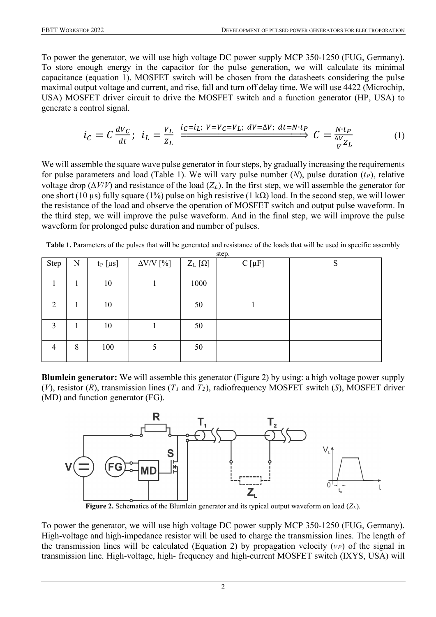To power the generator, we will use high voltage DC power supply MCP 350-1250 (FUG, Germany). To store enough energy in the capacitor for the pulse generation, we will calculate its minimal capacitance (equation 1). MOSFET switch will be chosen from the datasheets considering the pulse maximal output voltage and current, and rise, fall and turn off delay time. We will use 4422 (Microchip, USA) MOSFET driver circuit to drive the MOSFET switch and a function generator (HP, USA) to generate a control signal.

$$
i_C = C \frac{dV_C}{dt}; \quad i_L = \frac{V_L}{Z_L} \xrightarrow{i_C = i_L; \ V = V_C = V_L; \ dV = \Delta V; \ dt = N \cdot t_P} C = \frac{N \cdot t_P}{\frac{\Delta V}{V} Z_L} \tag{1}
$$

We will assemble the square wave pulse generator in four steps, by gradually increasing the requirements for pulse parameters and load (Table 1). We will vary pulse number  $(N)$ , pulse duration  $(t<sub>P</sub>)$ , relative voltage drop (∆*V*/*V*) and resistance of the load (*ZL*). In the first step, we will assemble the generator for one short (10 µs) fully square (1%) pulse on high resistive (1 kΩ) load. In the second step, we will lower the resistance of the load and observe the operation of MOSFET switch and output pulse waveform. In the third step, we will improve the pulse waveform. And in the final step, we will improve the pulse waveform for prolonged pulse duration and number of pulses.

| Step           | N | $t_P$ [ $\mu s$ ] | $\Delta \text{V/V}$ [%] | $Z_{L}[\Omega]$ | $C[\mu F]$ | S |
|----------------|---|-------------------|-------------------------|-----------------|------------|---|
|                |   | 10                |                         | 1000            |            |   |
| 2              |   | 10                |                         | 50              |            |   |
| 3              |   | 10                |                         | 50              |            |   |
| $\overline{4}$ | 8 | 100               |                         | 50              |            |   |

| Table 1. Parameters of the pulses that will be generated and resistance of the loads that will be used in specific assembly |  |
|-----------------------------------------------------------------------------------------------------------------------------|--|
| step.                                                                                                                       |  |

**Blumlein generator:** We will assemble this generator (Figure 2) by using: a high voltage power supply (*V*), resistor (*R*), transmission lines (*T1* and *T2*), radiofrequency MOSFET switch (*S*), MOSFET driver (MD) and function generator (FG).



**Figure 2.** Schematics of the Blumlein generator and its typical output waveform on load (*ZL*).

To power the generator, we will use high voltage DC power supply MCP 350-1250 (FUG, Germany). High-voltage and high-impedance resistor will be used to charge the transmission lines. The length of the transmission lines will be calculated (Equation 2) by propagation velocity  $(v_P)$  of the signal in transmission line. High-voltage, high- frequency and high-current MOSFET switch (IXYS, USA) will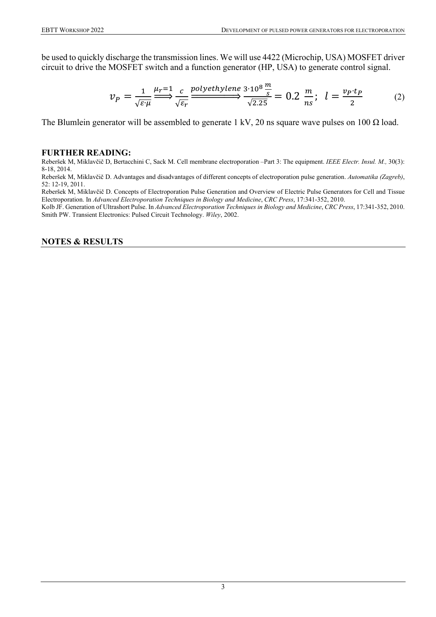be used to quickly discharge the transmission lines. We will use 4422 (Microchip, USA) MOSFET driver circuit to drive the MOSFET switch and a function generator (HP, USA) to generate control signal.

$$
\nu_P = \frac{1}{\sqrt{\varepsilon \cdot \mu}} \xrightarrow{\mu_r = 1} \frac{c}{\sqrt{\varepsilon_r}} \xrightarrow{\text{polyethylene 3} \cdot 10^8 \frac{m}{s}} \frac{m}{\sqrt{2.25}} = 0.2 \frac{m}{ns}; \quad l = \frac{\nu_P \cdot t_P}{2} \tag{2}
$$

The Blumlein generator will be assembled to generate 1 kV, 20 ns square wave pulses on 100  $\Omega$  load.

#### **FURTHER READING:**

Reberšek M, Miklavčič D, Bertacchini C, Sack M. Cell membrane electroporation –Part 3: The equipment. *IEEE Electr. Insul. M.,* 30(3): 8-18, 2014.

Reberšek M, Miklavčič D. Advantages and disadvantages of different concepts of electroporation pulse generation. *Automatika (Zagreb)*, 52: 12-19, 2011.

Reberšek M, Miklavčič D. Concepts of Electroporation Pulse Generation and Overview of Electric Pulse Generators for Cell and Tissue Electroporation. In *Advanced Electroporation Techniques in Biology and Medicine*, *CRC Press*, 17:341-352, 2010.

Kolb JF. Generation of Ultrashort Pulse. In *Advanced Electroporation Techniques in Biology and Medicine*, *CRC Press*, 17:341-352, 2010. Smith PW. Transient Electronics: Pulsed Circuit Technology. *Wiley*, 2002.

#### **NOTES & RESULTS**